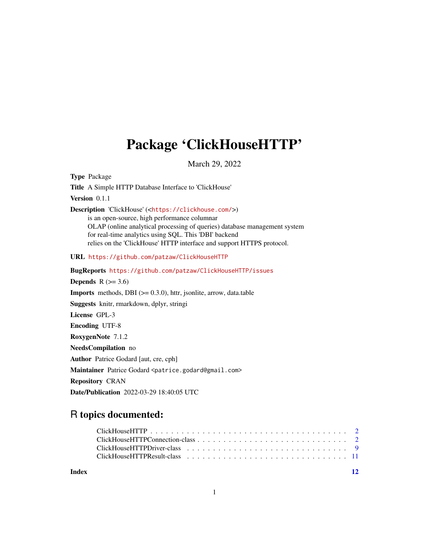## Package 'ClickHouseHTTP'

March 29, 2022

<span id="page-0-0"></span>Type Package Title A Simple HTTP Database Interface to 'ClickHouse' Version 0.1.1 Description 'ClickHouse' (<<https://clickhouse.com/>>) is an open-source, high performance columnar OLAP (online analytical processing of queries) database management system for real-time analytics using SQL. This 'DBI' backend relies on the 'ClickHouse' HTTP interface and support HTTPS protocol. URL <https://github.com/patzaw/ClickHouseHTTP> BugReports <https://github.com/patzaw/ClickHouseHTTP/issues> Depends  $R$  ( $>= 3.6$ ) **Imports** methods, DBI  $(>= 0.3.0)$ , httr, jsonlite, arrow, data.table Suggests knitr, rmarkdown, dplyr, stringi License GPL-3 Encoding UTF-8 RoxygenNote 7.1.2 NeedsCompilation no Author Patrice Godard [aut, cre, cph] Maintainer Patrice Godard <patrice.godard@gmail.com> Repository CRAN

Date/Publication 2022-03-29 18:40:05 UTC

### R topics documented:

**Index** [12](#page-11-0)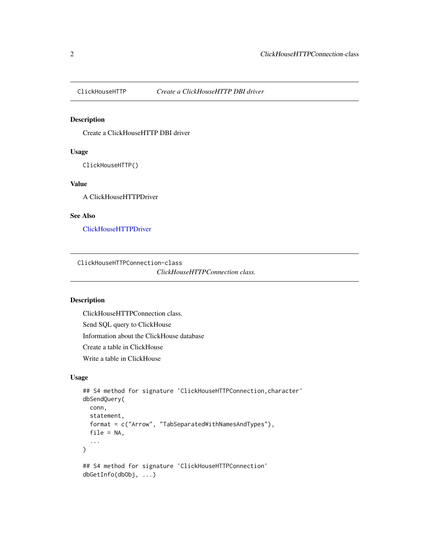<span id="page-1-1"></span><span id="page-1-0"></span>

#### Description

Create a ClickHouseHTTP DBI driver

#### Usage

ClickHouseHTTP()

#### Value

A ClickHouseHTTPDriver

#### See Also

[ClickHouseHTTPDriver](#page-8-1)

<span id="page-1-3"></span>ClickHouseHTTPConnection-class

```
ClickHouseHTTPConnection class.
```
#### <span id="page-1-2"></span>Description

ClickHouseHTTPConnection class. Send SQL query to ClickHouse Information about the ClickHouse database Create a table in ClickHouse Write a table in ClickHouse

#### Usage

```
## S4 method for signature 'ClickHouseHTTPConnection, character'
dbSendQuery(
  conn,
  statement,
  format = c("Arrow", "TabSeparatedWithNamesAndTypes"),
  file = NA,
  ...
\lambda## S4 method for signature 'ClickHouseHTTPConnection'
dbGetInfo(dbObj, ...)
```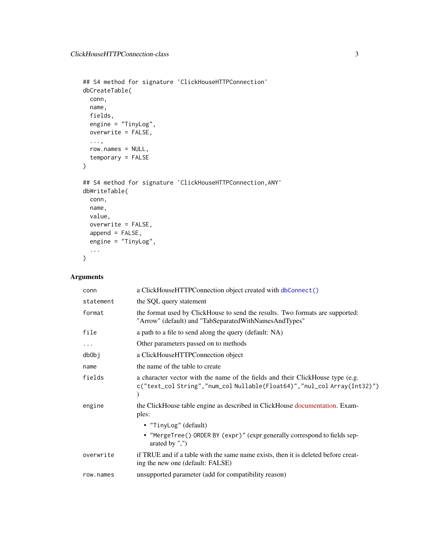```
## S4 method for signature 'ClickHouseHTTPConnection'
dbCreateTable(
 conn,
 name,
 fields,
 engine = "TinyLog",
 overwrite = FALSE,
  ...,
 row.names = NULL,
  temporary = FALSE
\mathcal{L}## S4 method for signature 'ClickHouseHTTPConnection,ANY'
dbWriteTable(
 conn,
 name,
 value,
 overwrite = FALSE,
 append = FALSE,engine = "TinyLog",
  ...
\mathcal{L}
```
#### Arguments

| conn      | a ClickHouseHTTPConnection object created with dbConnect()                                                                                                |
|-----------|-----------------------------------------------------------------------------------------------------------------------------------------------------------|
| statement | the SQL query statement                                                                                                                                   |
| format    | the format used by ClickHouse to send the results. Two formats are supported:<br>"Arrow" (default) and "TabSeparatedWithNamesAndTypes"                    |
| file      | a path to a file to send along the query (default: NA)                                                                                                    |
| $\cdots$  | Other parameters passed on to methods                                                                                                                     |
| db0bj     | a ClickHouseHTTPConnection object                                                                                                                         |
| name      | the name of the table to create                                                                                                                           |
| fields    | a character vector with the name of the fields and their ClickHouse type (e.g.<br>c("text_col String","num_col Nullable(Float64)","nul_col Array(Int32)") |
| engine    | the ClickHouse table engine as described in ClickHouse documentation. Exam-<br>ples:                                                                      |
|           | • "TinyLog" (default)                                                                                                                                     |
|           | • "MergeTree() ORDER BY (expr)" (expr generally correspond to fields sep-<br>arated by $",")$                                                             |
| overwrite | if TRUE and if a table with the same name exists, then it is deleted before creat-<br>ing the new one (default: FALSE)                                    |
| row.names | unsupported parameter (add for compatibility reason)                                                                                                      |
|           |                                                                                                                                                           |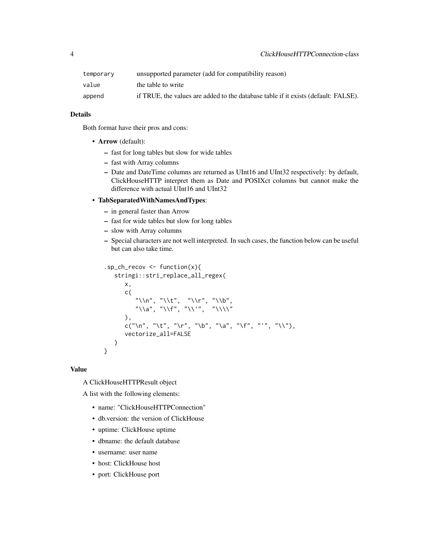| temporary | unsupported parameter (add for compatibility reason)                               |
|-----------|------------------------------------------------------------------------------------|
| value     | the table to write                                                                 |
| append    | if TRUE, the values are added to the database table if it exists (default: FALSE). |

#### Details

Both format have their pros and cons:

- Arrow (default):
	- fast for long tables but slow for wide tables
	- fast with Array columns
	- Date and DateTime columns are returned as UInt16 and UInt32 respectively: by default, ClickHouseHTTP interpret them as Date and POSIXct columns but cannot make the difference with actual UInt16 and UInt32

#### • TabSeparatedWithNamesAndTypes:

- in general faster than Arrow
- fast for wide tables but slow for long tables
- slow with Array columns
- Special characters are not well interpreted. In such cases, the function below can be useful but can also take time.

```
.sp_ch_recov <- function(x){
   stringi::stri_replace_all_regex(
      x,
      c(
          "\\n", "\\t", "\\r", "\\b",
          \sqrt{n} "\\a", "\\f", "\\'", "\\\\"
      ),
      c("\n", "\t", "\r", "\b", "\a", "\f", "'", "\\"),
      vectorize_all=FALSE
   )
}
```
#### Value

A ClickHouseHTTPResult object

A list with the following elements:

- name: "ClickHouseHTTPConnection"
- db.version: the version of ClickHouse
- uptime: ClickHouse uptime
- dbname: the default database
- username: user name
- host: ClickHouse host
- port: ClickHouse port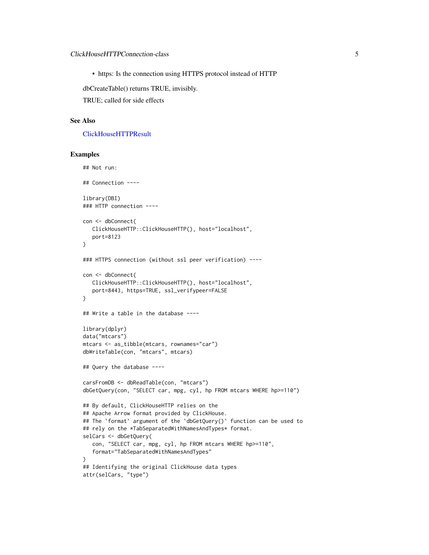<span id="page-4-0"></span>• https: Is the connection using HTTPS protocol instead of HTTP

dbCreateTable() returns TRUE, invisibly.

TRUE; called for side effects

#### See Also

#### [ClickHouseHTTPResult](#page-10-1)

#### Examples

```
## Not run:
## Connection ----
library(DBI)
### HTTP connection ----
con <- dbConnect(
  ClickHouseHTTP::ClickHouseHTTP(), host="localhost",
   port=8123
)
### HTTPS connection (without ssl peer verification) ----
con <- dbConnect(
  ClickHouseHTTP::ClickHouseHTTP(), host="localhost",
   port=8443, https=TRUE, ssl_verifypeer=FALSE
)
## Write a table in the database ----
library(dplyr)
data("mtcars")
mtcars <- as_tibble(mtcars, rownames="car")
dbWriteTable(con, "mtcars", mtcars)
## Query the database ----
carsFromDB <- dbReadTable(con, "mtcars")
dbGetQuery(con, "SELECT car, mpg, cyl, hp FROM mtcars WHERE hp>=110")
## By default, ClickHouseHTTP relies on the
## Apache Arrow format provided by ClickHouse.
## The `format` argument of the `dbGetQuery()` function can be used to
## rely on the *TabSeparatedWithNamesAndTypes* format.
selCars <- dbGetQuery(
   con, "SELECT car, mpg, cyl, hp FROM mtcars WHERE hp>=110",
   format="TabSeparatedWithNamesAndTypes"
)
## Identifying the original ClickHouse data types
attr(selCars, "type")
```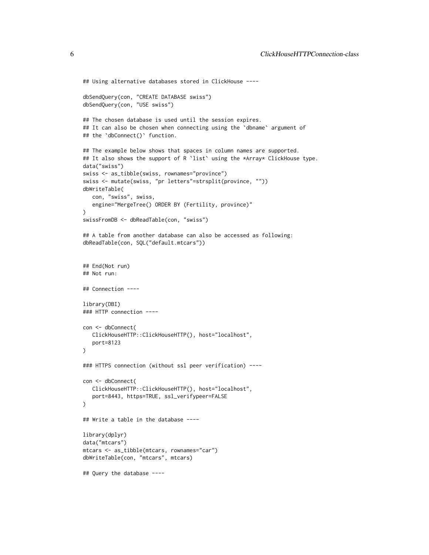```
## Using alternative databases stored in ClickHouse ----
dbSendQuery(con, "CREATE DATABASE swiss")
dbSendQuery(con, "USE swiss")
## The chosen database is used until the session expires.
## It can also be chosen when connecting using the 'dbname' argument of
## the `dbConnect()` function.
## The example below shows that spaces in column names are supported.
## It also shows the support of R `list` using the *Array* ClickHouse type.
data("swiss")
swiss <- as_tibble(swiss, rownames="province")
swiss <- mutate(swiss, "pr letters"=strsplit(province, ""))
dbWriteTable(
   con, "swiss", swiss,
   engine="MergeTree() ORDER BY (Fertility, province)"
)
swissFromDB <- dbReadTable(con, "swiss")
## A table from another database can also be accessed as following:
dbReadTable(con, SQL("default.mtcars"))
## End(Not run)
## Not run:
## Connection ----
library(DBI)
### HTTP connection ----
con <- dbConnect(
   ClickHouseHTTP::ClickHouseHTTP(), host="localhost",
   port=8123
\lambda### HTTPS connection (without ssl peer verification) ----
con <- dbConnect(
   ClickHouseHTTP::ClickHouseHTTP(), host="localhost",
   port=8443, https=TRUE, ssl_verifypeer=FALSE
\mathcal{L}## Write a table in the database ----
library(dplyr)
data("mtcars")
mtcars <- as_tibble(mtcars, rownames="car")
dbWriteTable(con, "mtcars", mtcars)
## Query the database ----
```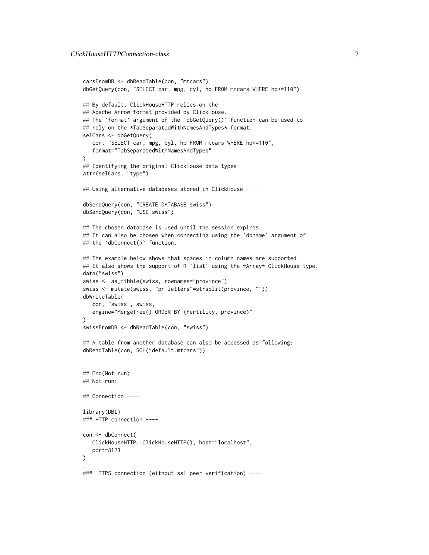```
carsFromDB <- dbReadTable(con, "mtcars")
dbGetQuery(con, "SELECT car, mpg, cyl, hp FROM mtcars WHERE hp>=110")
## By default, ClickHouseHTTP relies on the
## Apache Arrow format provided by ClickHouse.
## The `format` argument of the `dbGetQuery()` function can be used to
## rely on the *TabSeparatedWithNamesAndTypes* format.
selCars <- dbGetQuery(
  con, "SELECT car, mpg, cyl, hp FROM mtcars WHERE hp>=110",
   format="TabSeparatedWithNamesAndTypes"
\lambda## Identifying the original ClickHouse data types
attr(selCars, "type")
## Using alternative databases stored in ClickHouse ----
dbSendQuery(con, "CREATE DATABASE swiss")
dbSendQuery(con, "USE swiss")
## The chosen database is used until the session expires.
## It can also be chosen when connecting using the 'dbname' argument of
## the `dbConnect()` function.
## The example below shows that spaces in column names are supported.
## It also shows the support of R `list` using the *Array* ClickHouse type.
data("swiss")
swiss <- as_tibble(swiss, rownames="province")
swiss <- mutate(swiss, "pr letters"=strsplit(province, ""))
dbWriteTable(
  con, "swiss", swiss,
  engine="MergeTree() ORDER BY (Fertility, province)"
\lambdaswissFromDB <- dbReadTable(con, "swiss")
## A table from another database can also be accessed as following:
dbReadTable(con, SQL("default.mtcars"))
## End(Not run)
## Not run:
## Connection ----
library(DBI)
### HTTP connection ----
con <- dbConnect(
  ClickHouseHTTP::ClickHouseHTTP(), host="localhost",
  port=8123
\mathcal{L}### HTTPS connection (without ssl peer verification) ----
```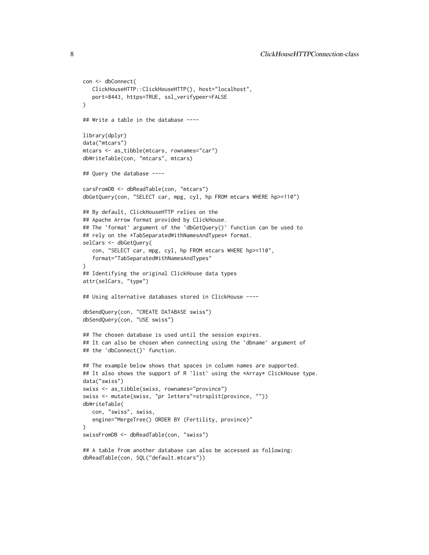```
con <- dbConnect(
   ClickHouseHTTP::ClickHouseHTTP(), host="localhost",
   port=8443, https=TRUE, ssl_verifypeer=FALSE
)
## Write a table in the database ----
library(dplyr)
data("mtcars")
mtcars <- as_tibble(mtcars, rownames="car")
dbWriteTable(con, "mtcars", mtcars)
## Query the database ----
carsFromDB <- dbReadTable(con, "mtcars")
dbGetQuery(con, "SELECT car, mpg, cyl, hp FROM mtcars WHERE hp>=110")
## By default, ClickHouseHTTP relies on the
## Apache Arrow format provided by ClickHouse.
## The `format` argument of the `dbGetQuery()` function can be used to
## rely on the *TabSeparatedWithNamesAndTypes* format.
selCars <- dbGetQuery(
   con, "SELECT car, mpg, cyl, hp FROM mtcars WHERE hp>=110",
   format="TabSeparatedWithNamesAndTypes"
)
## Identifying the original ClickHouse data types
attr(selCars, "type")
## Using alternative databases stored in ClickHouse ----
dbSendQuery(con, "CREATE DATABASE swiss")
dbSendQuery(con, "USE swiss")
## The chosen database is used until the session expires.
## It can also be chosen when connecting using the `dbname` argument of
## the `dbConnect()` function.
## The example below shows that spaces in column names are supported.
## It also shows the support of R `list` using the *Array* ClickHouse type.
data("swiss")
swiss <- as_tibble(swiss, rownames="province")
swiss <- mutate(swiss, "pr letters"=strsplit(province, ""))
dbWriteTable(
   con, "swiss", swiss,
   engine="MergeTree() ORDER BY (Fertility, province)"
\mathcal{L}swissFromDB <- dbReadTable(con, "swiss")
## A table from another database can also be accessed as following:
dbReadTable(con, SQL("default.mtcars"))
```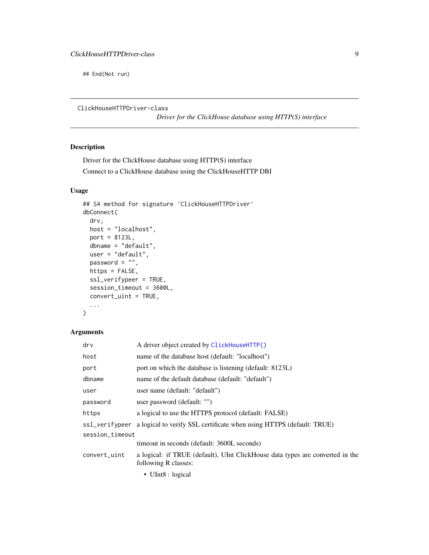<span id="page-8-0"></span>## End(Not run)

<span id="page-8-1"></span>ClickHouseHTTPDriver-class

*Driver for the ClickHouse database using HTTP(S) interface*

#### Description

Driver for the ClickHouse database using HTTP(S) interface Connect to a ClickHouse database using the ClickHouseHTTP DBI

#### Usage

```
## S4 method for signature 'ClickHouseHTTPDriver'
dbConnect(
  drv,
 host = "localhost",
 port = 8123L,
  dbname = "default",
 user = "default",
  password = ",
 https = FALSE,
  ssl_verifypeer = TRUE,
  session_timeout = 3600L,
  convert_uint = TRUE,
  ...
\mathcal{L}
```
#### Arguments

| $\mathsf{d}\mathsf{r}\mathsf{v}$ | A driver object created by ClickHouseHTTP()                                                           |
|----------------------------------|-------------------------------------------------------------------------------------------------------|
| host                             | name of the database host (default: "localhost")                                                      |
| port                             | port on which the database is listening (default: 8123L)                                              |
| dbname                           | name of the default database (default: "default")                                                     |
| user                             | user name (default: "default")                                                                        |
| password                         | user password (default: "")                                                                           |
| https                            | a logical to use the HTTPS protocol (default: FALSE)                                                  |
|                                  | ss1_verifypeer a logical to verify SSL certificate when using HTTPS (default: TRUE)                   |
| session_timeout                  |                                                                                                       |
|                                  | time out in seconds (default: 3600L seconds)                                                          |
| convert_uint                     | a logical: if TRUE (default), UInt ClickHouse data types are converted in the<br>following R classes: |
|                                  | • UInt8 : logical                                                                                     |
|                                  |                                                                                                       |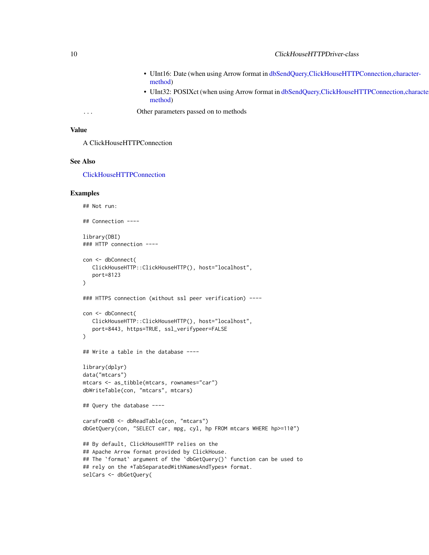- UInt16: Date (when using Arrow format in [dbSendQuery,ClickHouseHTTP](#page-1-2)Connection,character[method\)](#page-1-2)
- UInt32: POSIXct (when using Arrow format in [dbSendQuery,ClickHouseHT](#page-1-2)TPConnection,character[method\)](#page-1-2)
- <span id="page-9-0"></span>... Other parameters passed on to methods

#### Value

A ClickHouseHTTPConnection

#### See Also

[ClickHouseHTTPConnection](#page-1-3)

#### Examples

```
## Not run:
## Connection ----
library(DBI)
### HTTP connection ----
con <- dbConnect(
  ClickHouseHTTP::ClickHouseHTTP(), host="localhost",
   port=8123
)
### HTTPS connection (without ssl peer verification) ----
con <- dbConnect(
   ClickHouseHTTP::ClickHouseHTTP(), host="localhost",
   port=8443, https=TRUE, ssl_verifypeer=FALSE
)
## Write a table in the database ----
library(dplyr)
data("mtcars")
mtcars <- as_tibble(mtcars, rownames="car")
dbWriteTable(con, "mtcars", mtcars)
## Query the database ----
carsFromDB <- dbReadTable(con, "mtcars")
dbGetQuery(con, "SELECT car, mpg, cyl, hp FROM mtcars WHERE hp>=110")
## By default, ClickHouseHTTP relies on the
## Apache Arrow format provided by ClickHouse.
## The `format` argument of the `dbGetQuery()` function can be used to
## rely on the *TabSeparatedWithNamesAndTypes* format.
selCars <- dbGetQuery(
```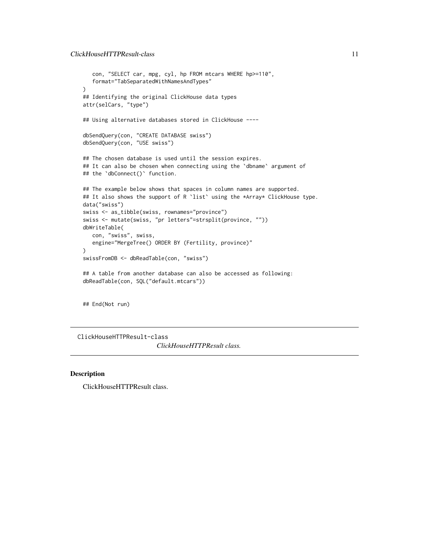```
con, "SELECT car, mpg, cyl, hp FROM mtcars WHERE hp>=110",
   format="TabSeparatedWithNamesAndTypes"
)
## Identifying the original ClickHouse data types
attr(selCars, "type")
## Using alternative databases stored in ClickHouse ----
dbSendQuery(con, "CREATE DATABASE swiss")
dbSendQuery(con, "USE swiss")
## The chosen database is used until the session expires.
## It can also be chosen when connecting using the 'dbname' argument of
## the `dbConnect()` function.
## The example below shows that spaces in column names are supported.
## It also shows the support of R `list` using the *Array* ClickHouse type.
data("swiss")
swiss <- as_tibble(swiss, rownames="province")
swiss <- mutate(swiss, "pr letters"=strsplit(province, ""))
dbWriteTable(
  con, "swiss", swiss,
  engine="MergeTree() ORDER BY (Fertility, province)"
\mathcal{L}swissFromDB <- dbReadTable(con, "swiss")
## A table from another database can also be accessed as following:
dbReadTable(con, SQL("default.mtcars"))
## End(Not run)
```
<span id="page-10-1"></span>ClickHouseHTTPResult-class *ClickHouseHTTPResult class.*

#### Description

ClickHouseHTTPResult class.